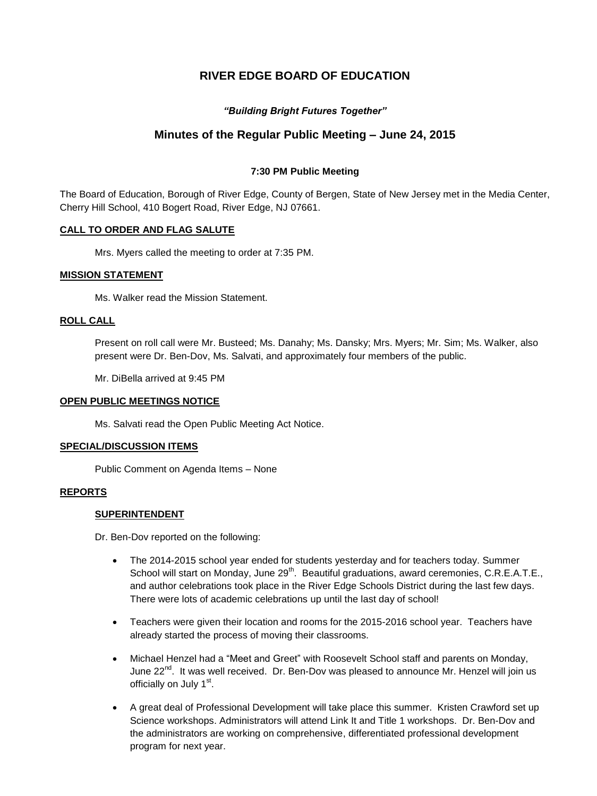# **RIVER EDGE BOARD OF EDUCATION**

## *"Building Bright Futures Together"*

# **Minutes of the Regular Public Meeting – June 24, 2015**

## **7:30 PM Public Meeting**

The Board of Education, Borough of River Edge, County of Bergen, State of New Jersey met in the Media Center, Cherry Hill School, 410 Bogert Road, River Edge, NJ 07661.

## **CALL TO ORDER AND FLAG SALUTE**

Mrs. Myers called the meeting to order at 7:35 PM.

## **MISSION STATEMENT**

Ms. Walker read the Mission Statement.

## **ROLL CALL**

Present on roll call were Mr. Busteed; Ms. Danahy; Ms. Dansky; Mrs. Myers; Mr. Sim; Ms. Walker, also present were Dr. Ben-Dov, Ms. Salvati, and approximately four members of the public.

Mr. DiBella arrived at 9:45 PM

## **OPEN PUBLIC MEETINGS NOTICE**

Ms. Salvati read the Open Public Meeting Act Notice.

## **SPECIAL/DISCUSSION ITEMS**

Public Comment on Agenda Items – None

## **REPORTS**

## **SUPERINTENDENT**

Dr. Ben-Dov reported on the following:

- The 2014-2015 school year ended for students yesterday and for teachers today. Summer School will start on Monday, June 29<sup>th</sup>. Beautiful graduations, award ceremonies, C.R.E.A.T.E., and author celebrations took place in the River Edge Schools District during the last few days. There were lots of academic celebrations up until the last day of school!
- Teachers were given their location and rooms for the 2015-2016 school year. Teachers have already started the process of moving their classrooms.
- Michael Henzel had a "Meet and Greet" with Roosevelt School staff and parents on Monday, June 22<sup>nd</sup>. It was well received. Dr. Ben-Dov was pleased to announce Mr. Henzel will join us officially on July 1<sup>st</sup>.
- A great deal of Professional Development will take place this summer. Kristen Crawford set up Science workshops. Administrators will attend Link It and Title 1 workshops. Dr. Ben-Dov and the administrators are working on comprehensive, differentiated professional development program for next year.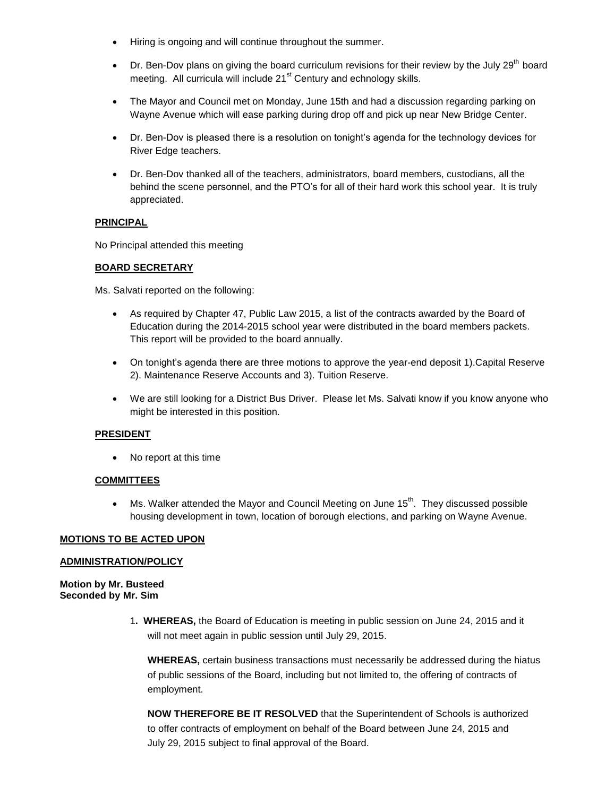- Hiring is ongoing and will continue throughout the summer.
- Dr. Ben-Dov plans on giving the board curriculum revisions for their review by the July 29<sup>th</sup> board meeting. All curricula will include 21<sup>st</sup> Century and echnology skills.
- The Mayor and Council met on Monday, June 15th and had a discussion regarding parking on Wayne Avenue which will ease parking during drop off and pick up near New Bridge Center.
- Dr. Ben-Dov is pleased there is a resolution on tonight's agenda for the technology devices for River Edge teachers.
- Dr. Ben-Dov thanked all of the teachers, administrators, board members, custodians, all the behind the scene personnel, and the PTO's for all of their hard work this school year. It is truly appreciated.

## **PRINCIPAL**

No Principal attended this meeting

## **BOARD SECRETARY**

Ms. Salvati reported on the following:

- As required by Chapter 47, Public Law 2015, a list of the contracts awarded by the Board of Education during the 2014-2015 school year were distributed in the board members packets. This report will be provided to the board annually.
- On tonight's agenda there are three motions to approve the year-end deposit 1).Capital Reserve 2). Maintenance Reserve Accounts and 3). Tuition Reserve.
- We are still looking for a District Bus Driver. Please let Ms. Salvati know if you know anyone who might be interested in this position.

## **PRESIDENT**

No report at this time

## **COMMITTEES**

 $\bullet$  Ms. Walker attended the Mayor and Council Meeting on June 15<sup>th</sup>. They discussed possible housing development in town, location of borough elections, and parking on Wayne Avenue.

## **MOTIONS TO BE ACTED UPON**

## **ADMINISTRATION/POLICY**

**Motion by Mr. Busteed Seconded by Mr. Sim**

> 1**. WHEREAS,** the Board of Education is meeting in public session on June 24, 2015 and it will not meet again in public session until July 29, 2015.

**WHEREAS,** certain business transactions must necessarily be addressed during the hiatus of public sessions of the Board, including but not limited to, the offering of contracts of employment.

**NOW THEREFORE BE IT RESOLVED** that the Superintendent of Schools is authorized to offer contracts of employment on behalf of the Board between June 24, 2015 and July 29, 2015 subject to final approval of the Board.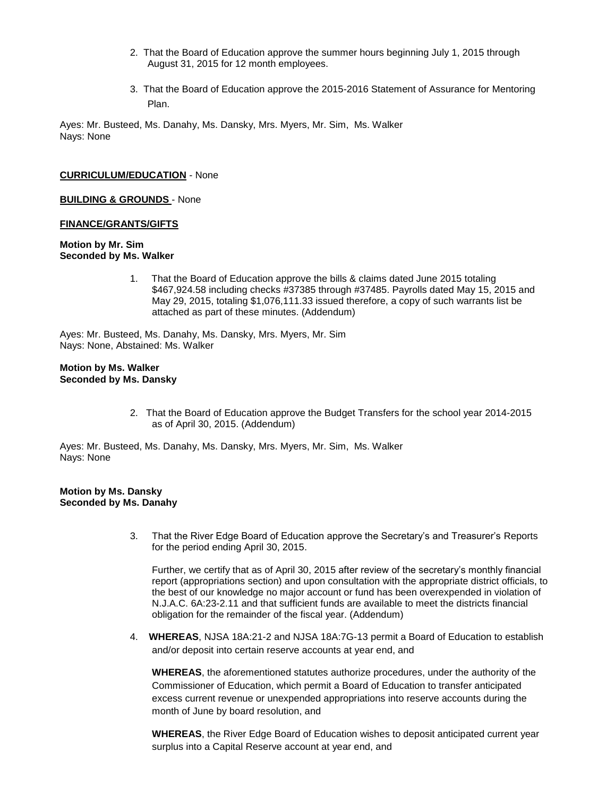- 2. That the Board of Education approve the summer hours beginning July 1, 2015 through August 31, 2015 for 12 month employees.
- 3. That the Board of Education approve the 2015-2016 Statement of Assurance for Mentoring Plan.

### **CURRICULUM/EDUCATION** - None

**BUILDING & GROUNDS** - None

#### **FINANCE/GRANTS/GIFTS**

#### **Motion by Mr. Sim Seconded by Ms. Walker**

1. That the Board of Education approve the bills & claims dated June 2015 totaling \$467,924.58 including checks #37385 through #37485. Payrolls dated May 15, 2015 and May 29, 2015, totaling \$1,076,111.33 issued therefore, a copy of such warrants list be attached as part of these minutes. (Addendum)

Ayes: Mr. Busteed, Ms. Danahy, Ms. Dansky, Mrs. Myers, Mr. Sim Nays: None, Abstained: Ms. Walker

#### **Motion by Ms. Walker Seconded by Ms. Dansky**

2. That the Board of Education approve the Budget Transfers for the school year 2014-2015 as of April 30, 2015. (Addendum)

Ayes: Mr. Busteed, Ms. Danahy, Ms. Dansky, Mrs. Myers, Mr. Sim, Ms. Walker Nays: None

### **Motion by Ms. Dansky Seconded by Ms. Danahy**

3. That the River Edge Board of Education approve the Secretary's and Treasurer's Reports for the period ending April 30, 2015.

Further, we certify that as of April 30, 2015 after review of the secretary's monthly financial report (appropriations section) and upon consultation with the appropriate district officials, to the best of our knowledge no major account or fund has been overexpended in violation of N.J.A.C. 6A:23-2.11 and that sufficient funds are available to meet the districts financial obligation for the remainder of the fiscal year. (Addendum)

4. **WHEREAS**, NJSA 18A:21-2 and NJSA 18A:7G-13 permit a Board of Education to establish and/or deposit into certain reserve accounts at year end, and

**WHEREAS**, the aforementioned statutes authorize procedures, under the authority of the Commissioner of Education, which permit a Board of Education to transfer anticipated excess current revenue or unexpended appropriations into reserve accounts during the month of June by board resolution, and

**WHEREAS**, the River Edge Board of Education wishes to deposit anticipated current year surplus into a Capital Reserve account at year end, and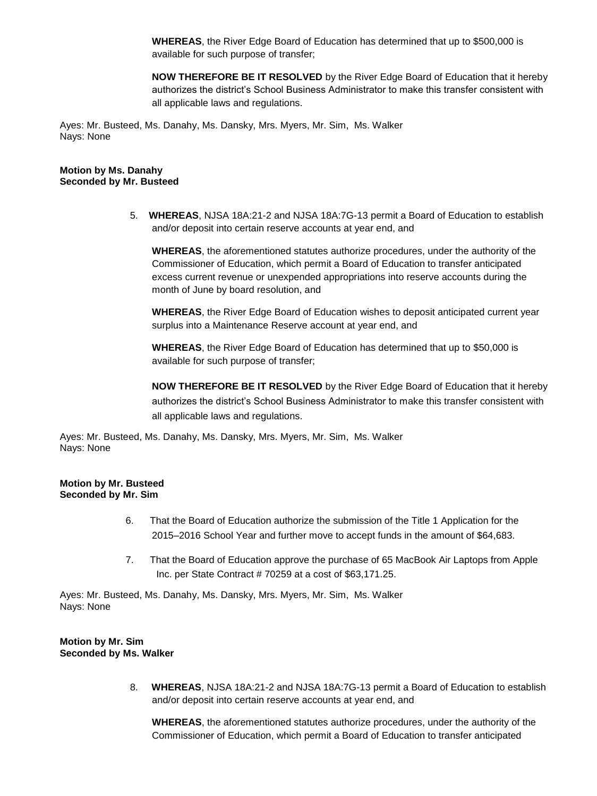**WHEREAS**, the River Edge Board of Education has determined that up to \$500,000 is available for such purpose of transfer;

**NOW THEREFORE BE IT RESOLVED** by the River Edge Board of Education that it hereby authorizes the district's School Business Administrator to make this transfer consistent with all applicable laws and regulations.

Ayes: Mr. Busteed, Ms. Danahy, Ms. Dansky, Mrs. Myers, Mr. Sim, Ms. Walker Nays: None

## **Motion by Ms. Danahy Seconded by Mr. Busteed**

5. **WHEREAS**, NJSA 18A:21-2 and NJSA 18A:7G-13 permit a Board of Education to establish and/or deposit into certain reserve accounts at year end, and

**WHEREAS**, the aforementioned statutes authorize procedures, under the authority of the Commissioner of Education, which permit a Board of Education to transfer anticipated excess current revenue or unexpended appropriations into reserve accounts during the month of June by board resolution, and

**WHEREAS**, the River Edge Board of Education wishes to deposit anticipated current year surplus into a Maintenance Reserve account at year end, and

**WHEREAS**, the River Edge Board of Education has determined that up to \$50,000 is available for such purpose of transfer;

**NOW THEREFORE BE IT RESOLVED** by the River Edge Board of Education that it hereby authorizes the district's School Business Administrator to make this transfer consistent with all applicable laws and regulations.

Ayes: Mr. Busteed, Ms. Danahy, Ms. Dansky, Mrs. Myers, Mr. Sim, Ms. Walker Nays: None

## **Motion by Mr. Busteed Seconded by Mr. Sim**

- 6. That the Board of Education authorize the submission of the Title 1 Application for the 2015–2016 School Year and further move to accept funds in the amount of \$64,683.
- 7. That the Board of Education approve the purchase of 65 MacBook Air Laptops from Apple Inc. per State Contract # 70259 at a cost of \$63,171.25.

Ayes: Mr. Busteed, Ms. Danahy, Ms. Dansky, Mrs. Myers, Mr. Sim, Ms. Walker Nays: None

#### **Motion by Mr. Sim Seconded by Ms. Walker**

8. **WHEREAS**, NJSA 18A:21-2 and NJSA 18A:7G-13 permit a Board of Education to establish and/or deposit into certain reserve accounts at year end, and

**WHEREAS**, the aforementioned statutes authorize procedures, under the authority of the Commissioner of Education, which permit a Board of Education to transfer anticipated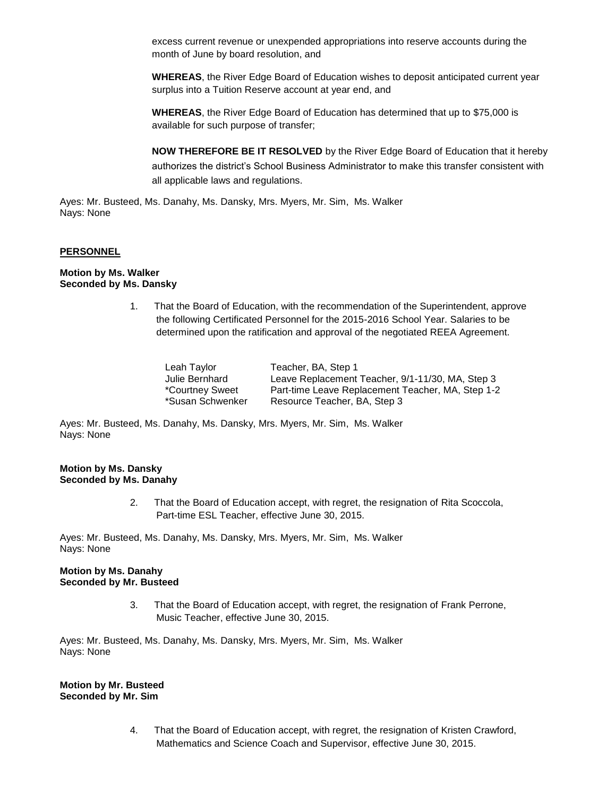excess current revenue or unexpended appropriations into reserve accounts during the month of June by board resolution, and

**WHEREAS**, the River Edge Board of Education wishes to deposit anticipated current year surplus into a Tuition Reserve account at year end, and

**WHEREAS**, the River Edge Board of Education has determined that up to \$75,000 is available for such purpose of transfer;

**NOW THEREFORE BE IT RESOLVED** by the River Edge Board of Education that it hereby authorizes the district's School Business Administrator to make this transfer consistent with all applicable laws and regulations.

Ayes: Mr. Busteed, Ms. Danahy, Ms. Dansky, Mrs. Myers, Mr. Sim, Ms. Walker Nays: None

### **PERSONNEL**

#### **Motion by Ms. Walker Seconded by Ms. Dansky**

1. That the Board of Education, with the recommendation of the Superintendent, approve the following Certificated Personnel for the 2015-2016 School Year. Salaries to be determined upon the ratification and approval of the negotiated REEA Agreement.

| Leah Taylor      | Teacher, BA, Step 1                               |
|------------------|---------------------------------------------------|
| Julie Bernhard   | Leave Replacement Teacher, 9/1-11/30, MA, Step 3  |
| *Courtney Sweet  | Part-time Leave Replacement Teacher, MA, Step 1-2 |
| *Susan Schwenker | Resource Teacher, BA, Step 3                      |

Ayes: Mr. Busteed, Ms. Danahy, Ms. Dansky, Mrs. Myers, Mr. Sim, Ms. Walker Nays: None

#### **Motion by Ms. Dansky Seconded by Ms. Danahy**

2. That the Board of Education accept, with regret, the resignation of Rita Scoccola, Part-time ESL Teacher, effective June 30, 2015.

Ayes: Mr. Busteed, Ms. Danahy, Ms. Dansky, Mrs. Myers, Mr. Sim, Ms. Walker Nays: None

#### **Motion by Ms. Danahy Seconded by Mr. Busteed**

3. That the Board of Education accept, with regret, the resignation of Frank Perrone, Music Teacher, effective June 30, 2015.

Ayes: Mr. Busteed, Ms. Danahy, Ms. Dansky, Mrs. Myers, Mr. Sim, Ms. Walker Nays: None

**Motion by Mr. Busteed Seconded by Mr. Sim**

> 4. That the Board of Education accept, with regret, the resignation of Kristen Crawford, Mathematics and Science Coach and Supervisor, effective June 30, 2015.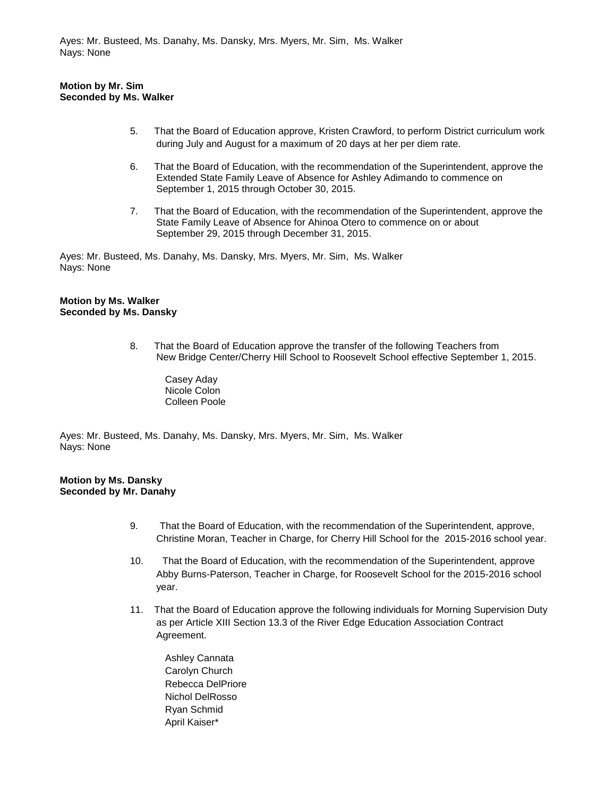## **Motion by Mr. Sim Seconded by Ms. Walker**

- 5. That the Board of Education approve, Kristen Crawford, to perform District curriculum work during July and August for a maximum of 20 days at her per diem rate.
- 6. That the Board of Education, with the recommendation of the Superintendent, approve the Extended State Family Leave of Absence for Ashley Adimando to commence on September 1, 2015 through October 30, 2015.
- 7. That the Board of Education, with the recommendation of the Superintendent, approve the State Family Leave of Absence for Ahinoa Otero to commence on or about September 29, 2015 through December 31, 2015.

Ayes: Mr. Busteed, Ms. Danahy, Ms. Dansky, Mrs. Myers, Mr. Sim, Ms. Walker Nays: None

#### **Motion by Ms. Walker Seconded by Ms. Dansky**

- 8. That the Board of Education approve the transfer of the following Teachers from New Bridge Center/Cherry Hill School to Roosevelt School effective September 1, 2015.
	- Casey Aday Nicole Colon Colleen Poole

Ayes: Mr. Busteed, Ms. Danahy, Ms. Dansky, Mrs. Myers, Mr. Sim, Ms. Walker Nays: None

## **Motion by Ms. Dansky Seconded by Mr. Danahy**

- 9. That the Board of Education, with the recommendation of the Superintendent, approve, Christine Moran, Teacher in Charge, for Cherry Hill School for the 2015-2016 school year.
- 10. That the Board of Education, with the recommendation of the Superintendent, approve Abby Burns-Paterson, Teacher in Charge, for Roosevelt School for the 2015-2016 school year.
- 11. That the Board of Education approve the following individuals for Morning Supervision Duty as per Article XIII Section 13.3 of the River Edge Education Association Contract Agreement.
	- Ashley Cannata Carolyn Church Rebecca DelPriore Nichol DelRosso Ryan Schmid April Kaiser\*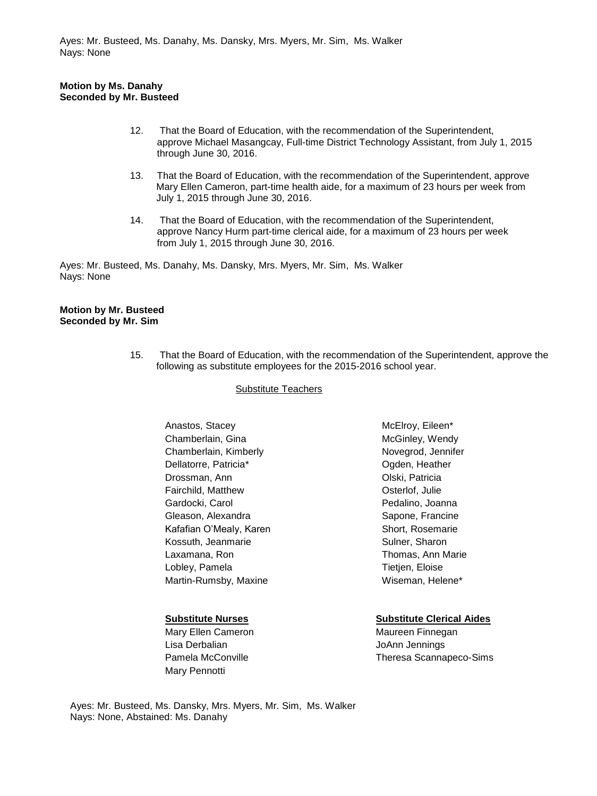## **Motion by Ms. Danahy Seconded by Mr. Busteed**

- 12. That the Board of Education, with the recommendation of the Superintendent, approve Michael Masangcay, Full-time District Technology Assistant, from July 1, 2015 through June 30, 2016.
- 13. That the Board of Education, with the recommendation of the Superintendent, approve Mary Ellen Cameron, part-time health aide, for a maximum of 23 hours per week from July 1, 2015 through June 30, 2016.
- 14. That the Board of Education, with the recommendation of the Superintendent, approve Nancy Hurm part-time clerical aide, for a maximum of 23 hours per week from July 1, 2015 through June 30, 2016.

Ayes: Mr. Busteed, Ms. Danahy, Ms. Dansky, Mrs. Myers, Mr. Sim, Ms. Walker Nays: None

#### **Motion by Mr. Busteed Seconded by Mr. Sim**

15. That the Board of Education, with the recommendation of the Superintendent, approve the following as substitute employees for the 2015-2016 school year.

## Substitute Teachers

Anastos, Stacey Chamberlain, Gina Chamberlain, Kimberly Dellatorre, Patricia\* Drossman, Ann Fairchild, Matthew Gardocki, Carol Gleason, Alexandra Kafafian O'Mealy, Karen Kossuth, Jeanmarie Laxamana, Ron Lobley, Pamela Martin-Rumsby, Maxine

Mary Ellen Cameron **Maureen Finnegan** Lisa Derbalian and Disk and Disk JoAnn Jennings Mary Pennotti

McElroy, Eileen\* McGinley, Wendy Novegrod, Jennifer Ogden, Heather Olski, Patricia Osterlof, Julie Pedalino, Joanna Sapone, Francine Short, Rosemarie Sulner, Sharon Thomas, Ann Marie **Tietien, Eloise** Wiseman, Helene\*

## **Substitute Nurses Substitute Clerical Aides**

Pamela McConville Theresa Scannapeco-Sims

Ayes: Mr. Busteed, Ms. Dansky, Mrs. Myers, Mr. Sim, Ms. Walker Nays: None, Abstained: Ms. Danahy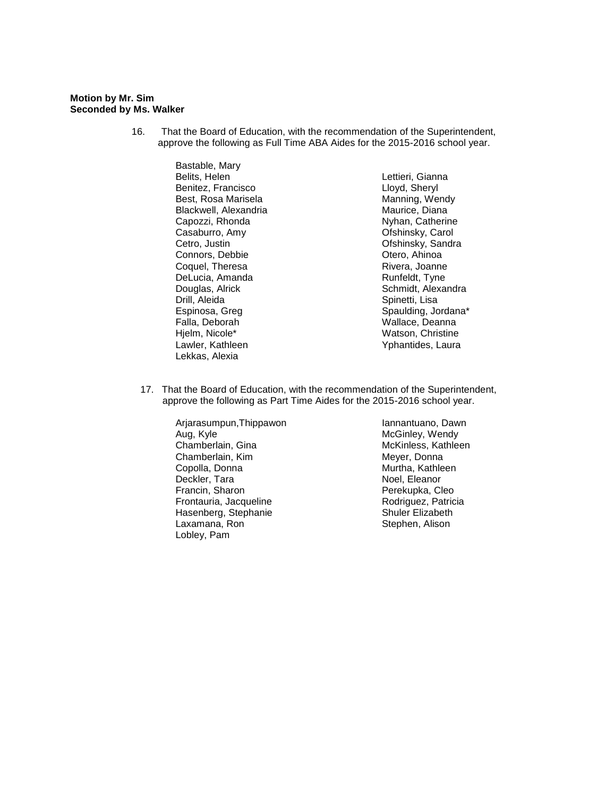#### **Motion by Mr. Sim Seconded by Ms. Walker**

16. That the Board of Education, with the recommendation of the Superintendent, approve the following as Full Time ABA Aides for the 2015-2016 school year.

> Bastable, Mary Belits, Helen Benitez, Francisco Best, Rosa Marisela Blackwell, Alexandria Capozzi, Rhonda Casaburro, Amy Cetro, Justin Connors, Debbie Coquel, Theresa DeLucia, Amanda Douglas, Alrick Drill, Aleida Espinosa, Greg Falla, Deborah Hjelm, Nicole\* Lawler, Kathleen Lekkas, Alexia

Lettieri, Gianna Lloyd, Sheryl Manning, Wendy Maurice, Diana Nyhan, Catherine Ofshinsky, Carol Ofshinsky, Sandra Otero, Ahinoa Rivera, Joanne Runfeldt, Tyne Schmidt, Alexandra Spinetti, Lisa Spaulding, Jordana\* Wallace, Deanna Watson, Christine Yphantides, Laura

17. That the Board of Education, with the recommendation of the Superintendent, approve the following as Part Time Aides for the 2015-2016 school year.

Arjarasumpun,Thippawon Aug, Kyle Chamberlain, Gina Chamberlain, Kim Copolla, Donna Deckler, Tara Francin, Sharon Frontauria, Jacqueline Hasenberg, Stephanie Laxamana, Ron Lobley, Pam

Iannantuano, Dawn McGinley, Wendy McKinless, Kathleen Meyer, Donna Murtha, Kathleen Noel, Eleanor Perekupka, Cleo Rodriguez, Patricia Shuler Elizabeth Stephen, Alison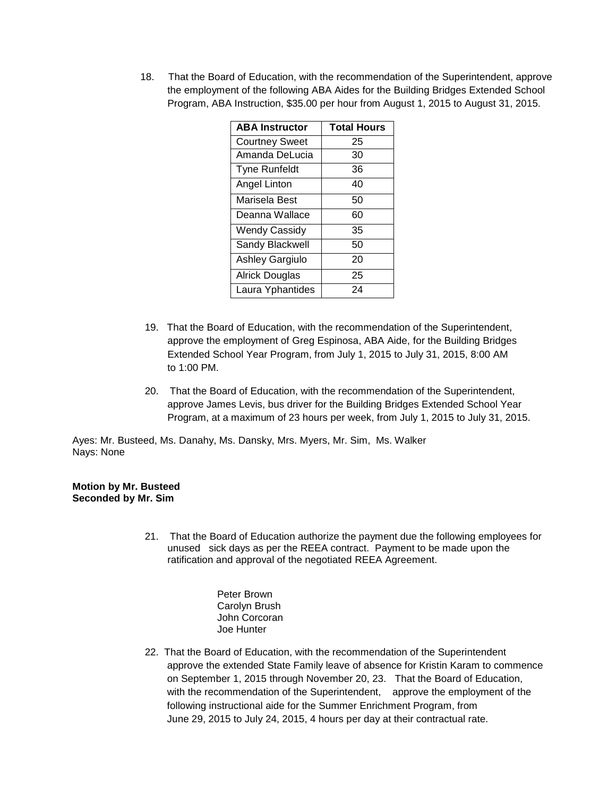18. That the Board of Education, with the recommendation of the Superintendent, approve the employment of the following ABA Aides for the Building Bridges Extended School Program, ABA Instruction, \$35.00 per hour from August 1, 2015 to August 31, 2015.

| <b>ABA Instructor</b> | <b>Total Hours</b> |
|-----------------------|--------------------|
| <b>Courtney Sweet</b> | 25                 |
| Amanda DeLucia        | 30                 |
| <b>Tyne Runfeldt</b>  | 36                 |
| Angel Linton          | 40                 |
| Marisela Best         | 50                 |
| Deanna Wallace        | 60                 |
| <b>Wendy Cassidy</b>  | 35                 |
| Sandy Blackwell       | 50                 |
| Ashley Gargiulo       | 20                 |
| <b>Alrick Douglas</b> | 25                 |
| Laura Yphantides      | 24                 |

- 19. That the Board of Education, with the recommendation of the Superintendent, approve the employment of Greg Espinosa, ABA Aide, for the Building Bridges Extended School Year Program, from July 1, 2015 to July 31, 2015, 8:00 AM to 1:00 PM.
- 20. That the Board of Education, with the recommendation of the Superintendent, approve James Levis, bus driver for the Building Bridges Extended School Year Program, at a maximum of 23 hours per week, from July 1, 2015 to July 31, 2015.

Ayes: Mr. Busteed, Ms. Danahy, Ms. Dansky, Mrs. Myers, Mr. Sim, Ms. Walker Nays: None

**Motion by Mr. Busteed Seconded by Mr. Sim**

- 21. That the Board of Education authorize the payment due the following employees for unused sick days as per the REEA contract. Payment to be made upon the ratification and approval of the negotiated REEA Agreement.
	- Peter Brown Carolyn Brush John Corcoran Joe Hunter
- 22. That the Board of Education, with the recommendation of the Superintendent approve the extended State Family leave of absence for Kristin Karam to commence on September 1, 2015 through November 20, 23. That the Board of Education, with the recommendation of the Superintendent, approve the employment of the following instructional aide for the Summer Enrichment Program, from June 29, 2015 to July 24, 2015, 4 hours per day at their contractual rate.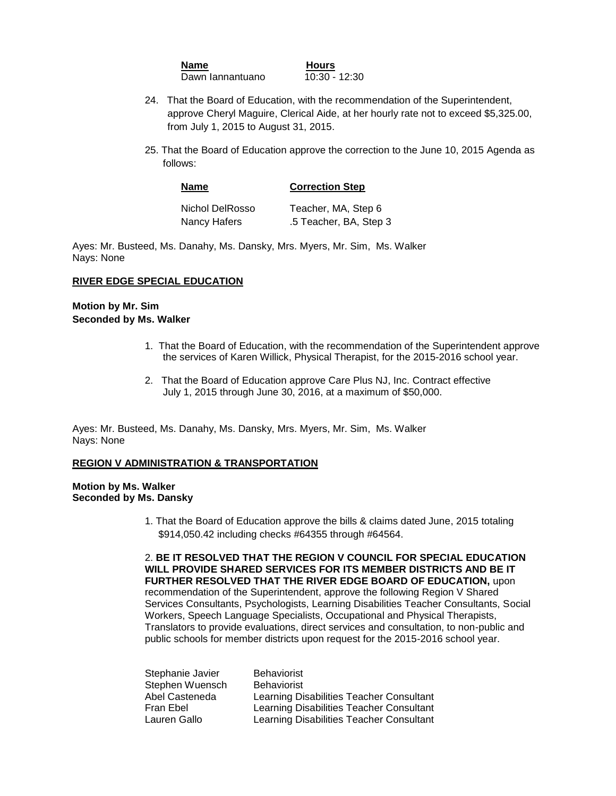| Name             | <b>Hours</b>  |
|------------------|---------------|
| Dawn lannantuano | 10:30 - 12:30 |

- 24. That the Board of Education, with the recommendation of the Superintendent, approve Cheryl Maguire, Clerical Aide, at her hourly rate not to exceed \$5,325.00, from July 1, 2015 to August 31, 2015.
- 25. That the Board of Education approve the correction to the June 10, 2015 Agenda as follows:

| <b>Name</b>     | <b>Correction Step</b> |
|-----------------|------------------------|
| Nichol DelRosso | Teacher, MA, Step 6    |
| Nancy Hafers    | .5 Teacher, BA, Step 3 |

#### **RIVER EDGE SPECIAL EDUCATION**

## **Motion by Mr. Sim Seconded by Ms. Walker**

- 1. That the Board of Education, with the recommendation of the Superintendent approve the services of Karen Willick, Physical Therapist, for the 2015-2016 school year.
- 2. That the Board of Education approve Care Plus NJ, Inc. Contract effective July 1, 2015 through June 30, 2016, at a maximum of \$50,000.

Ayes: Mr. Busteed, Ms. Danahy, Ms. Dansky, Mrs. Myers, Mr. Sim, Ms. Walker Nays: None

#### **REGION V ADMINISTRATION & TRANSPORTATION**

#### **Motion by Ms. Walker Seconded by Ms. Dansky**

1. That the Board of Education approve the bills & claims dated June, 2015 totaling \$914,050.42 including checks #64355 through #64564.

2. **BE IT RESOLVED THAT THE REGION V COUNCIL FOR SPECIAL EDUCATION WILL PROVIDE SHARED SERVICES FOR ITS MEMBER DISTRICTS AND BE IT FURTHER RESOLVED THAT THE RIVER EDGE BOARD OF EDUCATION,** upon recommendation of the Superintendent, approve the following Region V Shared Services Consultants, Psychologists, Learning Disabilities Teacher Consultants, Social Workers, Speech Language Specialists, Occupational and Physical Therapists, Translators to provide evaluations, direct services and consultation, to non-public and public schools for member districts upon request for the 2015-2016 school year.

| Stephanie Javier | <b>Behaviorist</b>                       |
|------------------|------------------------------------------|
| Stephen Wuensch  | <b>Behaviorist</b>                       |
| Abel Casteneda   | Learning Disabilities Teacher Consultant |
| Fran Ebel        | Learning Disabilities Teacher Consultant |
| Lauren Gallo     | Learning Disabilities Teacher Consultant |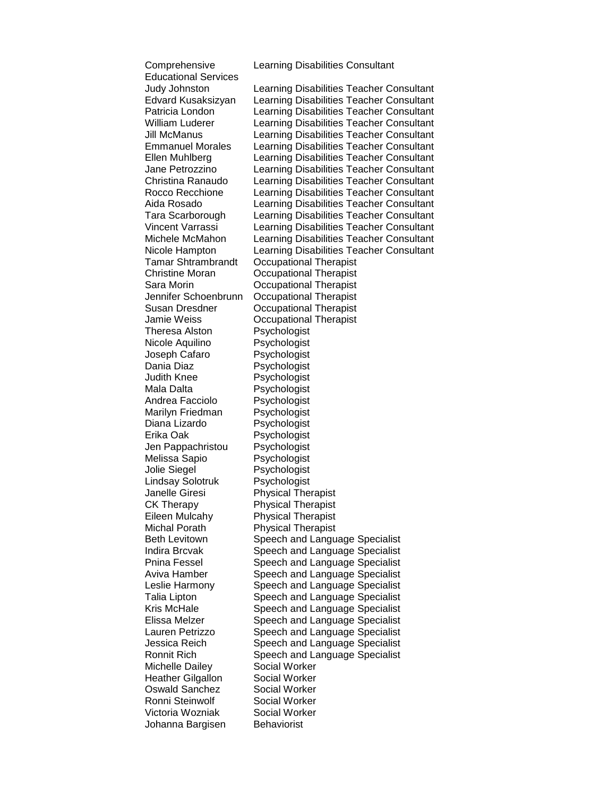Comprehensive Learning Disabilities Consultant Educational Services Tamar Shtrambrandt Occupational Therapist Christine Moran Occupational Therapist Sara Morin Occupational Therapist Jennifer Schoenbrunn Occupational Therapist Susan Dresdner Occupational Therapist Jamie Weiss Occupational Therapist Theresa Alston Psychologist Nicole Aquilino Psychologist Joseph Cafaro Psychologist Dania Diaz **Psychologist** Judith Knee Psychologist Mala Dalta **Psychologist** Andrea Facciolo Psychologist Marilyn Friedman Psychologist Diana Lizardo Psychologist Erika Oak Psychologist Jen Pappachristou Psychologist Melissa Sapio Psychologist Jolie Siegel Psychologist Lindsay Solotruk Psychologist Janelle Giresi Physical Therapist CK Therapy Physical Therapist Eileen Mulcahy Physical Therapist Michal Porath Physical Therapist Michelle Dailey **Social Worker** Heather Gilgallon Social Worker Oswald Sanchez Social Worker Ronni Steinwolf **Social Worker**<br>Victoria Wozniak **Social Worker** Victoria Wozniak Johanna Bargisen Behaviorist

Judy Johnston Learning Disabilities Teacher Consultant Edvard Kusaksizyan Learning Disabilities Teacher Consultant Patricia London Learning Disabilities Teacher Consultant William Luderer Learning Disabilities Teacher Consultant Jill McManus Learning Disabilities Teacher Consultant Emmanuel Morales Learning Disabilities Teacher Consultant Ellen Muhlberg Learning Disabilities Teacher Consultant Jane Petrozzino Learning Disabilities Teacher Consultant Christina Ranaudo Learning Disabilities Teacher Consultant Rocco Recchione Learning Disabilities Teacher Consultant Aida Rosado Learning Disabilities Teacher Consultant Tara Scarborough Learning Disabilities Teacher Consultant Vincent Varrassi Learning Disabilities Teacher Consultant Michele McMahon Learning Disabilities Teacher Consultant Nicole Hampton Learning Disabilities Teacher Consultant Beth Levitown Speech and Language Specialist Indira Brcvak Speech and Language Specialist Pnina Fessel Speech and Language Specialist Aviva Hamber Speech and Language Specialist Leslie Harmony Speech and Language Specialist Talia Lipton Speech and Language Specialist Kris McHale Speech and Language Specialist Elissa Melzer Speech and Language Specialist Lauren Petrizzo Speech and Language Specialist Jessica Reich Speech and Language Specialist Ronnit Rich Speech and Language Specialist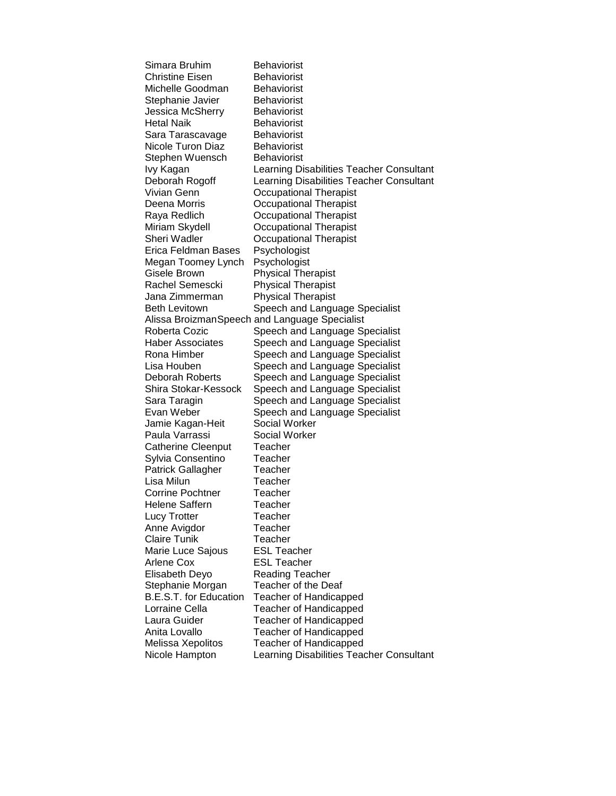Simara Bruhim Behaviorist Christine Eisen Behaviorist Michelle Goodman Behaviorist Stephanie Javier Behaviorist Jessica McSherry Behaviorist Hetal Naik Behaviorist Sara Tarascavage Behaviorist Nicole Turon Diaz Behaviorist Stephen Wuensch Behaviorist Ivy Kagan Learning Disabilities Teacher Consultant Deborah Rogoff Learning Disabilities Teacher Consultant Vivian Genn Occupational Therapist Deena Morris **Occupational Therapist** Raya Redlich Occupational Therapist Miriam Skydell Occupational Therapist Sheri Wadler **Occupational Therapist** Erica Feldman Bases Psychologist Megan Toomey Lynch Psychologist Gisele Brown Physical Therapist Rachel Semescki Physical Therapist Jana Zimmerman Physical Therapist Beth Levitown Speech and Language Specialist Alissa BroizmanSpeech and Language Specialist Roberta Cozic Speech and Language Specialist Haber Associates Speech and Language Specialist Rona Himber Speech and Language Specialist Lisa Houben Speech and Language Specialist Deborah Roberts Speech and Language Specialist Shira Stokar-Kessock Speech and Language Specialist Sara Taragin Speech and Language Specialist Evan Weber Speech and Language Specialist Jamie Kagan-Heit Social Worker Paula Varrassi Social Worker Catherine Cleenput Teacher Sylvia Consentino Teacher Patrick Gallagher Teacher Lisa Milun Teacher Corrine Pochtner Teacher Helene Saffern Teacher Lucy Trotter **Teacher** Anne Avigdor **Teacher** Claire Tunik Teacher Marie Luce Sajous **ESL Teacher** Arlene Cox ESL Teacher Elisabeth Deyo Reading Teacher Stephanie Morgan Teacher of the Deaf B.E.S.T. for Education Teacher of Handicapped Lorraine Cella **Teacher of Handicapped** Laura Guider Teacher of Handicapped Anita Lovallo Teacher of Handicapped Melissa Xepolitos Teacher of Handicapped Nicole Hampton Learning Disabilities Teacher Consultant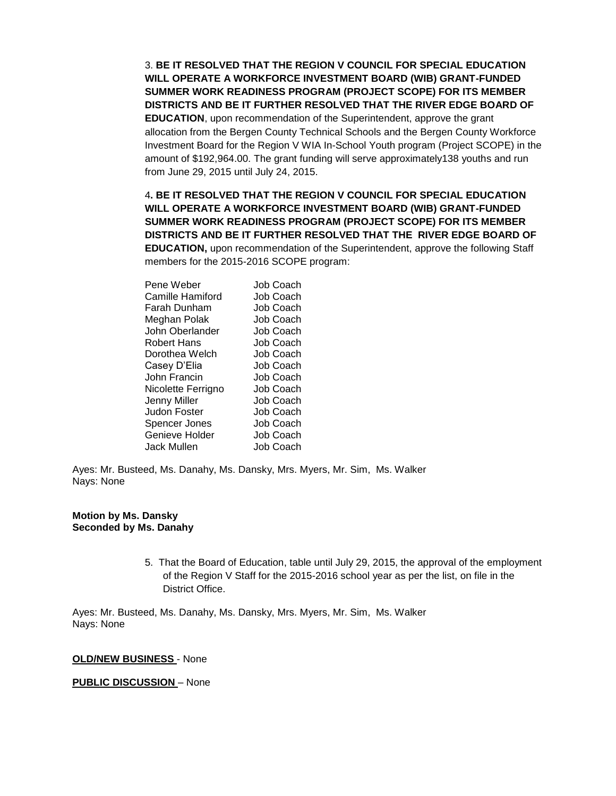3. **BE IT RESOLVED THAT THE REGION V COUNCIL FOR SPECIAL EDUCATION WILL OPERATE A WORKFORCE INVESTMENT BOARD (WIB) GRANT-FUNDED SUMMER WORK READINESS PROGRAM (PROJECT SCOPE) FOR ITS MEMBER DISTRICTS AND BE IT FURTHER RESOLVED THAT THE RIVER EDGE BOARD OF EDUCATION**, upon recommendation of the Superintendent, approve the grant allocation from the Bergen County Technical Schools and the Bergen County Workforce Investment Board for the Region V WIA In-School Youth program (Project SCOPE) in the amount of \$192,964.00. The grant funding will serve approximately138 youths and run from June 29, 2015 until July 24, 2015.

4**. BE IT RESOLVED THAT THE REGION V COUNCIL FOR SPECIAL EDUCATION WILL OPERATE A WORKFORCE INVESTMENT BOARD (WIB) GRANT-FUNDED SUMMER WORK READINESS PROGRAM (PROJECT SCOPE) FOR ITS MEMBER DISTRICTS AND BE IT FURTHER RESOLVED THAT THE RIVER EDGE BOARD OF EDUCATION,** upon recommendation of the Superintendent, approve the following Staff members for the 2015-2016 SCOPE program:

| Pene Weber         | Job Coach |
|--------------------|-----------|
| Camille Hamiford   | Job Coach |
| Farah Dunham       | Job Coach |
| Meghan Polak       | Job Coach |
| John Oberlander    | Job Coach |
| Robert Hans        | Job Coach |
| Dorothea Welch     | Job Coach |
| Casey D'Elia       | Job Coach |
| John Francin       | Job Coach |
| Nicolette Ferrigno | Job Coach |
| Jenny Miller       | Job Coach |
| Judon Foster       | Job Coach |
| Spencer Jones      | Job Coach |
| Genieve Holder     | Job Coach |
| Jack Mullen        | Job Coach |
|                    |           |

Ayes: Mr. Busteed, Ms. Danahy, Ms. Dansky, Mrs. Myers, Mr. Sim, Ms. Walker Nays: None

#### **Motion by Ms. Dansky Seconded by Ms. Danahy**

5. That the Board of Education, table until July 29, 2015, the approval of the employment of the Region V Staff for the 2015-2016 school year as per the list, on file in the District Office.

Ayes: Mr. Busteed, Ms. Danahy, Ms. Dansky, Mrs. Myers, Mr. Sim, Ms. Walker Nays: None

#### **OLD/NEW BUSINESS** - None

## **PUBLIC DISCUSSION** – None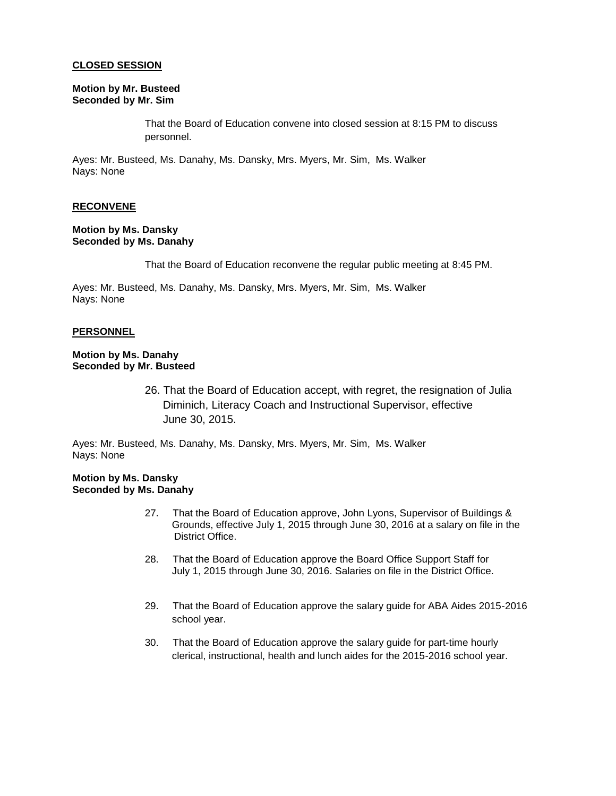#### **CLOSED SESSION**

#### **Motion by Mr. Busteed Seconded by Mr. Sim**

That the Board of Education convene into closed session at 8:15 PM to discuss personnel.

Ayes: Mr. Busteed, Ms. Danahy, Ms. Dansky, Mrs. Myers, Mr. Sim, Ms. Walker Nays: None

### **RECONVENE**

### **Motion by Ms. Dansky Seconded by Ms. Danahy**

That the Board of Education reconvene the regular public meeting at 8:45 PM.

Ayes: Mr. Busteed, Ms. Danahy, Ms. Dansky, Mrs. Myers, Mr. Sim, Ms. Walker Nays: None

#### **PERSONNEL**

## **Motion by Ms. Danahy Seconded by Mr. Busteed**

26. That the Board of Education accept, with regret, the resignation of Julia Diminich, Literacy Coach and Instructional Supervisor, effective June 30, 2015.

Ayes: Mr. Busteed, Ms. Danahy, Ms. Dansky, Mrs. Myers, Mr. Sim, Ms. Walker Nays: None

#### **Motion by Ms. Dansky Seconded by Ms. Danahy**

- 27. That the Board of Education approve, John Lyons, Supervisor of Buildings & Grounds, effective July 1, 2015 through June 30, 2016 at a salary on file in the District Office.
- 28. That the Board of Education approve the Board Office Support Staff for July 1, 2015 through June 30, 2016. Salaries on file in the District Office.
- 29. That the Board of Education approve the salary guide for ABA Aides 2015-2016 school year.
- 30. That the Board of Education approve the salary guide for part-time hourly clerical, instructional, health and lunch aides for the 2015-2016 school year.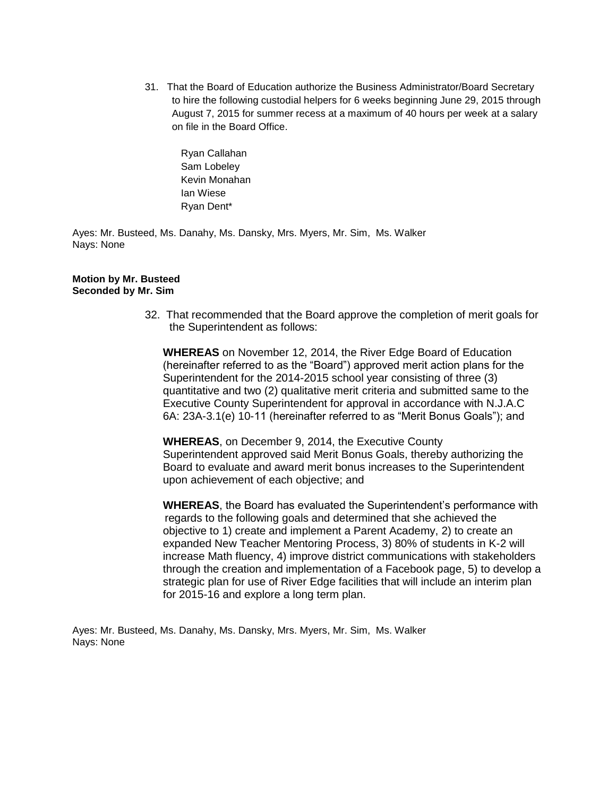31. That the Board of Education authorize the Business Administrator/Board Secretary to hire the following custodial helpers for 6 weeks beginning June 29, 2015 through August 7, 2015 for summer recess at a maximum of 40 hours per week at a salary on file in the Board Office.

Ryan Callahan Sam Lobeley Kevin Monahan Ian Wiese Ryan Dent\*

Ayes: Mr. Busteed, Ms. Danahy, Ms. Dansky, Mrs. Myers, Mr. Sim, Ms. Walker Nays: None

### **Motion by Mr. Busteed Seconded by Mr. Sim**

32. That recommended that the Board approve the completion of merit goals for the Superintendent as follows:

**WHEREAS** on November 12, 2014, the River Edge Board of Education (hereinafter referred to as the "Board") approved merit action plans for the Superintendent for the 2014-2015 school year consisting of three (3) quantitative and two (2) qualitative merit criteria and submitted same to the Executive County Superintendent for approval in accordance with N.J.A.C 6A: 23A-3.1(e) 10-11 (hereinafter referred to as "Merit Bonus Goals"); and

**WHEREAS**, on December 9, 2014, the Executive County Superintendent approved said Merit Bonus Goals, thereby authorizing the Board to evaluate and award merit bonus increases to the Superintendent upon achievement of each objective; and

**WHEREAS**, the Board has evaluated the Superintendent's performance with regards to the following goals and determined that she achieved the objective to 1) create and implement a Parent Academy, 2) to create an expanded New Teacher Mentoring Process, 3) 80% of students in K-2 will increase Math fluency, 4) improve district communications with stakeholders through the creation and implementation of a Facebook page, 5) to develop a strategic plan for use of River Edge facilities that will include an interim plan for 2015-16 and explore a long term plan.

Ayes: Mr. Busteed, Ms. Danahy, Ms. Dansky, Mrs. Myers, Mr. Sim, Ms. Walker Nays: None